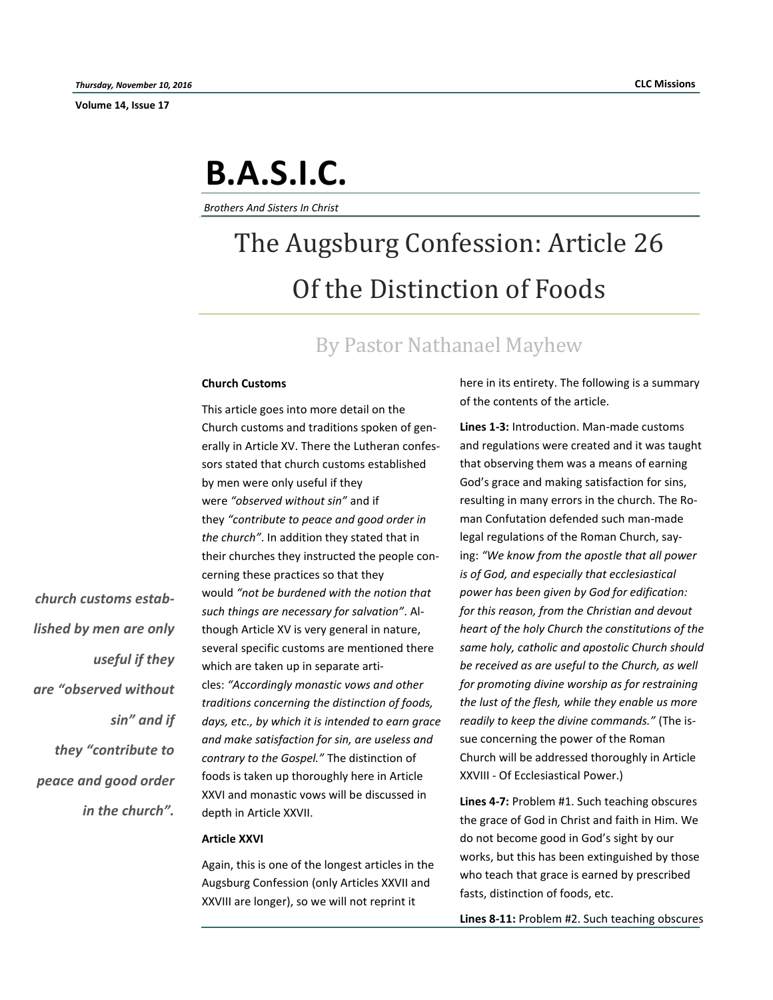**Volume 14, Issue 17**

*church customs estab-*

*lished by men are only* 

*are "observed without* 

*they "contribute to* 

*in the church".* 

*peace and good order* 

*useful if they* 

*sin" and if* 

# **B.A.S.I.C.**

*Brothers And Sisters In Christ*

## The Augsburg Confession: Article 26 Of the Distinction of Foods

### By Pastor Nathanael Mayhew

#### **Church Customs**

This article goes into more detail on the Church customs and traditions spoken of generally in Article XV. There the Lutheran confessors stated that church customs established by men were only useful if they were *"observed without sin"* and if they *"contribute to peace and good order in the church"*. In addition they stated that in their churches they instructed the people concerning these practices so that they would *"not be burdened with the notion that such things are necessary for salvation"*. Although Article XV is very general in nature, several specific customs are mentioned there which are taken up in separate articles: *"Accordingly monastic vows and other traditions concerning the distinction of foods, days, etc., by which it is intended to earn grace and make satisfaction for sin, are useless and contrary to the Gospel."* The distinction of foods is taken up thoroughly here in Article XXVI and monastic vows will be discussed in depth in Article XXVII.

#### **Article XXVI**

Again, this is one of the longest articles in the Augsburg Confession (only Articles XXVII and XXVIII are longer), so we will not reprint it

here in its entirety. The following is a summary of the contents of the article.

**Lines 1-3:** Introduction. Man-made customs and regulations were created and it was taught that observing them was a means of earning God's grace and making satisfaction for sins, resulting in many errors in the church. The Roman Confutation defended such man-made legal regulations of the Roman Church, saying: *"We know from the apostle that all power is of God, and especially that ecclesiastical power has been given by God for edification: for this reason, from the Christian and devout heart of the holy Church the constitutions of the same holy, catholic and apostolic Church should be received as are useful to the Church, as well for promoting divine worship as for restraining the lust of the flesh, while they enable us more readily to keep the divine commands."* (The issue concerning the power of the Roman Church will be addressed thoroughly in Article XXVIII - Of Ecclesiastical Power.)

**Lines 4-7:** Problem #1. Such teaching obscures the grace of God in Christ and faith in Him. We do not become good in God's sight by our works, but this has been extinguished by those who teach that grace is earned by prescribed fasts, distinction of foods, etc.

**Lines 8-11:** Problem #2. Such teaching obscures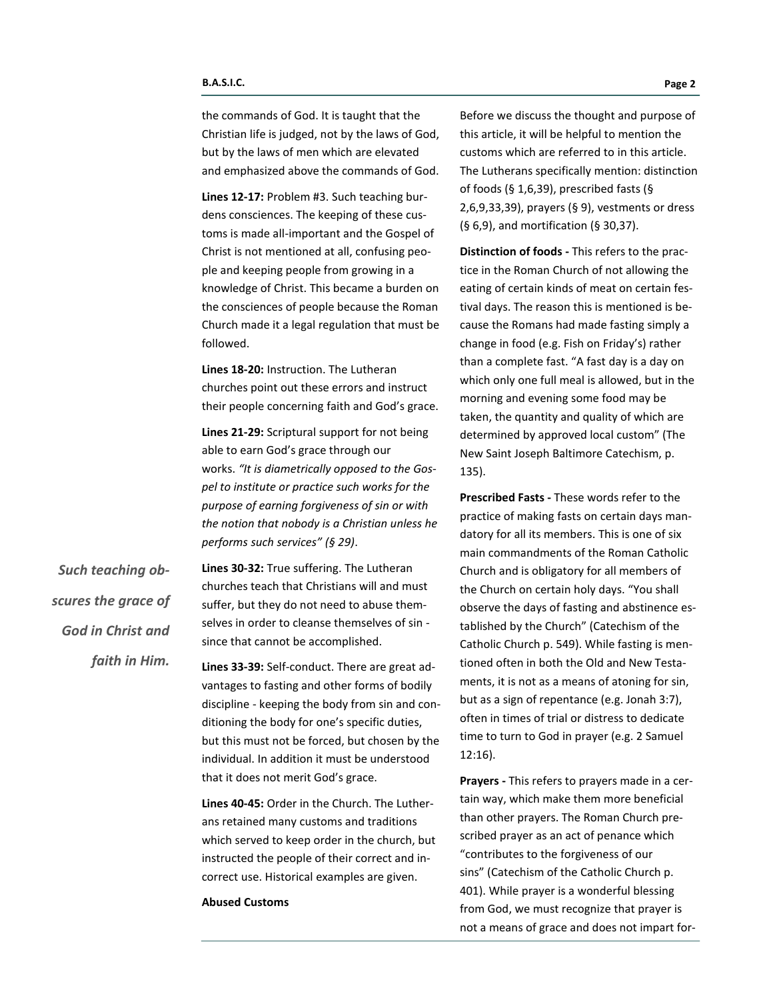the commands of God. It is taught that the Christian life is judged, not by the laws of God, but by the laws of men which are elevated and emphasized above the commands of God.

**Lines 12-17:** Problem #3. Such teaching burdens consciences. The keeping of these customs is made all-important and the Gospel of Christ is not mentioned at all, confusing people and keeping people from growing in a knowledge of Christ. This became a burden on the consciences of people because the Roman Church made it a legal regulation that must be followed.

**Lines 18-20:** Instruction. The Lutheran churches point out these errors and instruct their people concerning faith and God's grace.

**Lines 21-29:** Scriptural support for not being able to earn God's grace through our works. *"It is diametrically opposed to the Gospel to institute or practice such works for the purpose of earning forgiveness of sin or with the notion that nobody is a Christian unless he performs such services" (§ 29)*.

*Such teaching obscures the grace of God in Christ and faith in Him.* 

**Lines 30-32:** True suffering. The Lutheran churches teach that Christians will and must suffer, but they do not need to abuse themselves in order to cleanse themselves of sin since that cannot be accomplished.

**Lines 33-39:** Self-conduct. There are great advantages to fasting and other forms of bodily discipline - keeping the body from sin and conditioning the body for one's specific duties, but this must not be forced, but chosen by the individual. In addition it must be understood that it does not merit God's grace.

**Lines 40-45:** Order in the Church. The Lutherans retained many customs and traditions which served to keep order in the church, but instructed the people of their correct and incorrect use. Historical examples are given.

**Abused Customs**

Before we discuss the thought and purpose of this article, it will be helpful to mention the customs which are referred to in this article. The Lutherans specifically mention: distinction of foods (§ 1,6,39), prescribed fasts (§ 2,6,9,33,39), prayers (§ 9), vestments or dress (§ 6,9), and mortification (§ 30,37).

**Distinction of foods -** This refers to the practice in the Roman Church of not allowing the eating of certain kinds of meat on certain festival days. The reason this is mentioned is because the Romans had made fasting simply a change in food (e.g. Fish on Friday's) rather than a complete fast. "A fast day is a day on which only one full meal is allowed, but in the morning and evening some food may be taken, the quantity and quality of which are determined by approved local custom" (The New Saint Joseph Baltimore Catechism, p. 135).

**Prescribed Fasts -** These words refer to the practice of making fasts on certain days mandatory for all its members. This is one of six main commandments of the Roman Catholic Church and is obligatory for all members of the Church on certain holy days. "You shall observe the days of fasting and abstinence established by the Church" (Catechism of the Catholic Church p. 549). While fasting is mentioned often in both the Old and New Testaments, it is not as a means of atoning for sin, but as a sign of repentance (e.g. Jonah 3:7), often in times of trial or distress to dedicate time to turn to God in prayer (e.g. 2 Samuel 12:16).

**Prayers -** This refers to prayers made in a certain way, which make them more beneficial than other prayers. The Roman Church prescribed prayer as an act of penance which "contributes to the forgiveness of our sins" (Catechism of the Catholic Church p. 401). While prayer is a wonderful blessing from God, we must recognize that prayer is not a means of grace and does not impart for-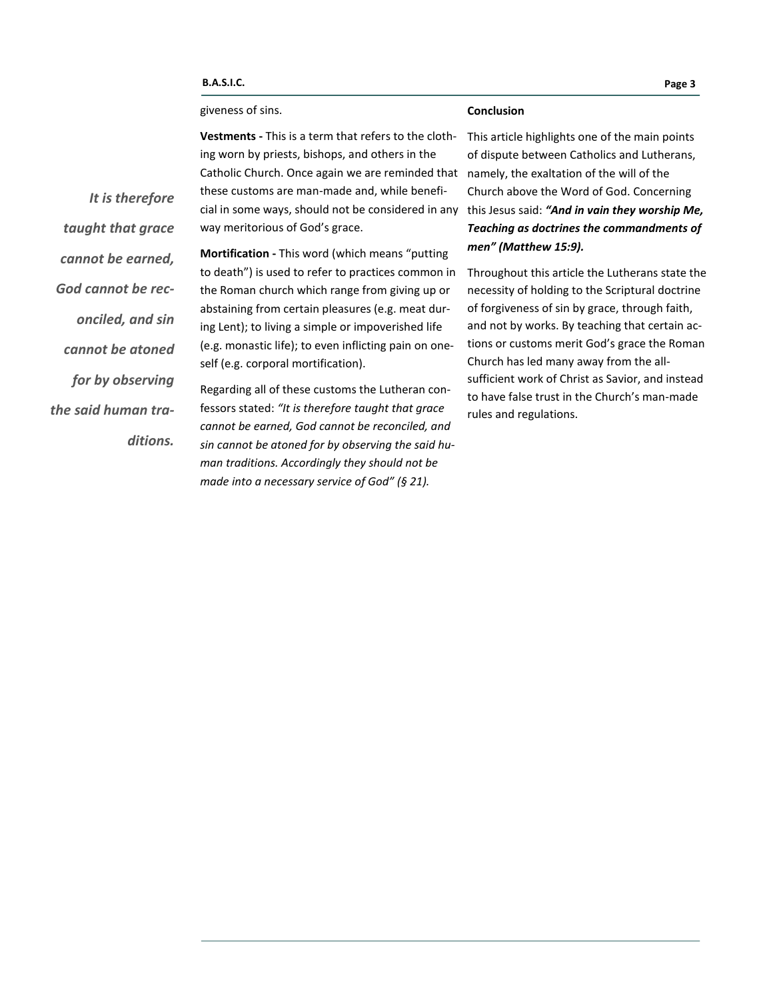#### giveness of sins.

#### **Conclusion**

**Vestments -** This is a term that refers to the clothing worn by priests, bishops, and others in the Catholic Church. Once again we are reminded that these customs are man-made and, while beneficial in some ways, should not be considered in any this Jesus said: *"And in vain they worship Me,*  way meritorious of God's grace.

**Mortification -** This word (which means "putting to death") is used to refer to practices common in the Roman church which range from giving up or abstaining from certain pleasures (e.g. meat during Lent); to living a simple or impoverished life (e.g. monastic life); to even inflicting pain on oneself (e.g. corporal mortification).

Regarding all of these customs the Lutheran confessors stated: *"It is therefore taught that grace cannot be earned, God cannot be reconciled, and sin cannot be atoned for by observing the said human traditions. Accordingly they should not be made into a necessary service of God" (§ 21).*

This article highlights one of the main points of dispute between Catholics and Lutherans, namely, the exaltation of the will of the Church above the Word of God. Concerning *Teaching as doctrines the commandments of men" (Matthew 15:9).*

Throughout this article the Lutherans state the necessity of holding to the Scriptural doctrine of forgiveness of sin by grace, through faith, and not by works. By teaching that certain actions or customs merit God's grace the Roman Church has led many away from the allsufficient work of Christ as Savior, and instead to have false trust in the Church's man-made rules and regulations.

*It is therefore taught that grace cannot be earned, God cannot be reconciled, and sin cannot be atoned for by observing the said human traditions.*